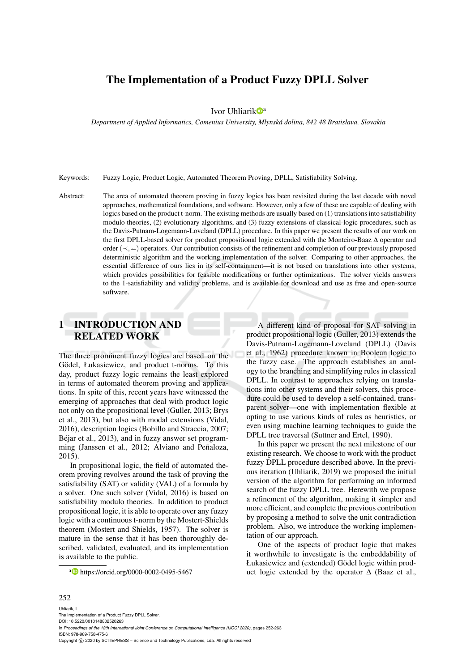## The Implementation of a Product Fuzzy DPLL Solver

Ivor Uhliarik D<sup>a</sup>

*Department of Applied Informatics, Comenius University, Mlynska dolina, 842 48 Bratislava, Slovakia ´*

Keywords: Fuzzy Logic, Product Logic, Automated Theorem Proving, DPLL, Satisfiability Solving.

Abstract: The area of automated theorem proving in fuzzy logics has been revisited during the last decade with novel approaches, mathematical foundations, and software. However, only a few of these are capable of dealing with logics based on the product t-norm. The existing methods are usually based on (1) translations into satisfiability modulo theories, (2) evolutionary algorithms, and (3) fuzzy extensions of classical-logic procedures, such as the Davis-Putnam-Logemann-Loveland (DPLL) procedure. In this paper we present the results of our work on the first DPLL-based solver for product propositional logic extended with the Monteiro-Baaz ∆ operator and order ( $\prec,=\;$ ) operators. Our contribution consists of the refinement and completion of our previously proposed deterministic algorithm and the working implementation of the solver. Comparing to other approaches, the essential difference of ours lies in its self-containment—it is not based on translations into other systems, which provides possibilities for feasible modifications or further optimizations. The solver yields answers to the 1-satisfiability and validity problems, and is available for download and use as free and open-source software.

# 1 INTRODUCTION AND RELATED WORK

The three prominent fuzzy logics are based on the Gödel, Łukasiewicz, and product t-norms. To this day, product fuzzy logic remains the least explored in terms of automated theorem proving and applications. In spite of this, recent years have witnessed the emerging of approaches that deal with product logic not only on the propositional level (Guller, 2013; Brys et al., 2013), but also with modal extensions (Vidal, 2016), description logics (Bobillo and Straccia, 2007; Béjar et al., 2013), and in fuzzy answer set programming (Janssen et al., 2012; Alviano and Peñaloza, 2015).

In propositional logic, the field of automated theorem proving revolves around the task of proving the satisfiability (SAT) or validity (VAL) of a formula by a solver. One such solver (Vidal, 2016) is based on satisfiability modulo theories. In addition to product propositional logic, it is able to operate over any fuzzy logic with a continuous t-norm by the Mostert-Shields theorem (Mostert and Shields, 1957). The solver is mature in the sense that it has been thoroughly described, validated, evaluated, and its implementation is available to the public.

a https://orcid.org/0000-0002-0495-5467

A different kind of proposal for SAT solving in product propositional logic (Guller, 2013) extends the Davis-Putnam-Logemann-Loveland (DPLL) (Davis et al., 1962) procedure known in Boolean logic to the fuzzy case. The approach establishes an analogy to the branching and simplifying rules in classical DPLL. In contrast to approaches relying on translations into other systems and their solvers, this procedure could be used to develop a self-contained, transparent solver—one with implementation flexible at opting to use various kinds of rules as heuristics, or even using machine learning techniques to guide the DPLL tree traversal (Suttner and Ertel, 1990).

In this paper we present the next milestone of our existing research. We choose to work with the product fuzzy DPLL procedure described above. In the previous iteration (Uhliarik, 2019) we proposed the initial version of the algorithm for performing an informed search of the fuzzy DPLL tree. Herewith we propose a refinement of the algorithm, making it simpler and more efficient, and complete the previous contribution by proposing a method to solve the unit contradiction problem. Also, we introduce the working implementation of our approach.

One of the aspects of product logic that makes it worthwhile to investigate is the embeddability of Łukasiewicz and (extended) Gödel logic within product logic extended by the operator  $\Delta$  (Baaz et al.,

#### 252

Uhliarik, I. entation of a Product Fuzzy DPLL Solver. DOI: 10.5220/0010148802520263 In *Proceedings of the 12th International Joint Conference on Computational Intelligence (IJCCI 2020)*, pages 252-263 ISBN: 978-989-758-475-6 Copyright (C) 2020 by SCITEPRESS - Science and Technology Publications, Lda. All rights reserved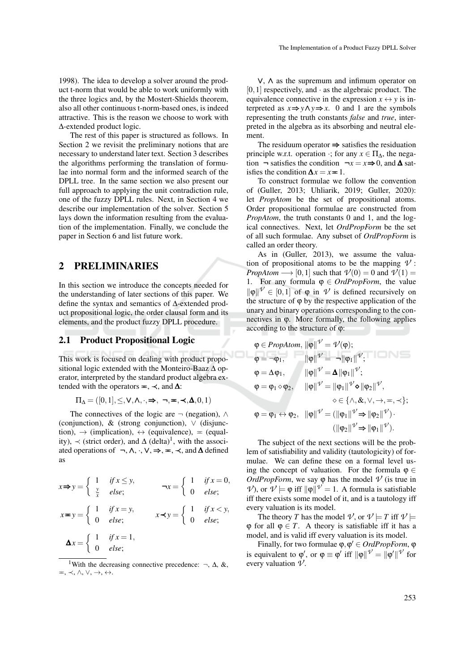1998). The idea to develop a solver around the product t-norm that would be able to work uniformly with the three logics and, by the Mostert-Shields theorem, also all other continuous t-norm-based ones, is indeed attractive. This is the reason we choose to work with ∆-extended product logic.

The rest of this paper is structured as follows. In Section 2 we revisit the preliminary notions that are necessary to understand later text. Section 3 describes the algorithms performing the translation of formulae into normal form and the informed search of the DPLL tree. In the same section we also present our full approach to applying the unit contradiction rule, one of the fuzzy DPLL rules. Next, in Section 4 we describe our implementation of the solver. Section 5 lays down the information resulting from the evaluation of the implementation. Finally, we conclude the paper in Section 6 and list future work.

### 2 PRELIMINARIES

In this section we introduce the concepts needed for the understanding of later sections of this paper. We define the syntax and semantics of ∆-extended product propositional logic, the order clausal form and its elements, and the product fuzzy DPLL procedure.

#### 2.1 Product Propositional Logic

This work is focused on dealing with product propositional logic extended with the Monteiro-Baaz  $\Delta$  operator, interpreted by the standard product algebra extended with the operators  $=$ ,  $\prec$ , and  $\Delta$ :

 $\Pi_{\Delta} = ([0,1], \leq, \vee, \wedge, \cdot, \Rightarrow, \neg, \#, \prec, \Delta, 0, 1)$ 

The connectives of the logic are  $\neg$  (negation),  $\wedge$ (conjunction),  $\&$  (strong conjunction),  $\vee$  (disjunction),  $\rightarrow$  (implication),  $\leftrightarrow$  (equivalence), = (equality),  $\prec$  (strict order), and  $\Delta$  (delta)<sup>1</sup>, with the associated operations of  $\neg, \wedge, \neg, \vee, \Rightarrow, \Rightarrow, \prec,$  and  $\Delta$  defined as

$$
x \Rightarrow y = \begin{cases} 1 & \text{if } x \le y, \\ \frac{y}{x} & \text{else;} \end{cases} \qquad \neg x = \begin{cases} 1 & \text{if } x = 0, \\ 0 & \text{else;} \end{cases}
$$

$$
x \Rightarrow y = \begin{cases} 1 & \text{if } x = y, \\ 0 & \text{else;} \end{cases} \qquad x \prec y = \begin{cases} 1 & \text{if } x < y, \\ 0 & \text{else;} \end{cases}
$$

$$
\Delta x = \begin{cases} 1 & \text{if } x = 1, \\ 0 & \text{else;} \end{cases}
$$

<sup>1</sup>With the decreasing connective precedence:  $\neg$ ,  $\Delta$ , &,  $\equiv, \prec, \wedge, \vee, \rightarrow, \leftrightarrow.$ 

∨, ∧ as the supremum and infimum operator on  $[0,1]$  respectively, and  $\cdot$  as the algebraic product. The equivalence connective in the expression  $x \leftrightarrow y$  is interpreted as  $x \Rightarrow y \land y \Rightarrow x$ . 0 and 1 are the symbols representing the truth constants *false* and *true*, interpreted in the algebra as its absorbing and neutral element.

The residuum operator  $\Rightarrow$  satisfies the residuation principle w.r.t. operation  $\cdot$ ; for any  $x \in \Pi_{\Delta}$ , the negation  $\neg$  satisfies the condition  $\neg x = x \Rightarrow 0$ , and **∆** satisfies the condition  $\Delta x = x = 1$ .

To construct formulae we follow the convention of (Guller, 2013; Uhliarik, 2019; Guller, 2020): let *PropAtom* be the set of propositional atoms. Order propositional formulae are constructed from *PropAtom*, the truth constants 0 and 1, and the logical connectives. Next, let *OrdPropForm* be the set of all such formulae. Any subset of *OrdPropForm* is called an order theory.

As in (Guller, 2013), we assume the valuation of propositional atoms to be the mapping  $\mathcal V$ : *PropAtom*  $\longrightarrow$  [0,1] such that  $\mathcal{V}(0) = 0$  and  $\mathcal{V}(1) =$ 1. For any formula  $\varphi \in \text{OrdPropForm}$ , the value  $\|\varphi\| \leq \emptyset$  [0,1] of  $\varphi$  in  $\mathcal V$  is defined recursively on the structure of  $\varphi$  by the respective application of the unary and binary operations corresponding to the connectives in ϕ. More formally, the following applies according to the structure of ϕ:

$$
\varphi \in \text{PropAtom}, \|\varphi\| \nu' = \nu(\varphi);
$$
\n
$$
\varphi = \neg \varphi_1, \qquad \|\varphi\| \nu' = \neg \|\varphi_1\| \nu';
$$
\n
$$
\varphi = \Delta \varphi_1, \qquad \|\varphi\| \nu' = \Delta \|\varphi_1\| \nu';
$$
\n
$$
\varphi = \varphi_1 \diamond \varphi_2, \qquad \|\varphi\| \nu' = \|\varphi_1\| \nu' \diamond \|\varphi_2\| \nu',
$$
\n
$$
\diamond \in \{\wedge, \&, \vee, \rightarrow, \equiv, \prec\};
$$
\n
$$
\varphi = \varphi_1 \leftrightarrow \varphi_2, \quad \|\varphi\| \nu' = (\|\varphi_1\| \nu' \Rightarrow \|\varphi_2\| \nu') \cdot (\|\varphi_2\| \nu' \Rightarrow \|\varphi_1\| \nu').
$$

The subject of the next sections will be the problem of satisfiability and validity (tautologicity) of formulae. We can define these on a formal level using the concept of valuation. For the formula  $\varphi \in$ *OrdPropForm*, we say  $\varphi$  has the model  $\vartheta$  (is true in *V*), or  $ν$   $\models$   $ϕ$  iff  $\|\phi\|$ <sup> $ν$ </sup> = 1. A formula is satisfiable iff there exists some model of it, and is a tautology iff every valuation is its model.

The theory *T* has the model  $\mathcal{V}$ , or  $\mathcal{V} \models T$  iff  $\mathcal{V} \models$  $\varphi$  for all  $\varphi \in T$ . A theory is satisfiable iff it has a model, and is valid iff every valuation is its model.

Finally, for two formulae φ, φ' ∈ OrdPropForm, φ is equivalent to  $\varphi'$ , or  $\varphi \equiv \varphi'$  iff  $\|\varphi\|^{V'} = \|\varphi'\|^{V'}$  for every valuation  $\mathcal{V}$ .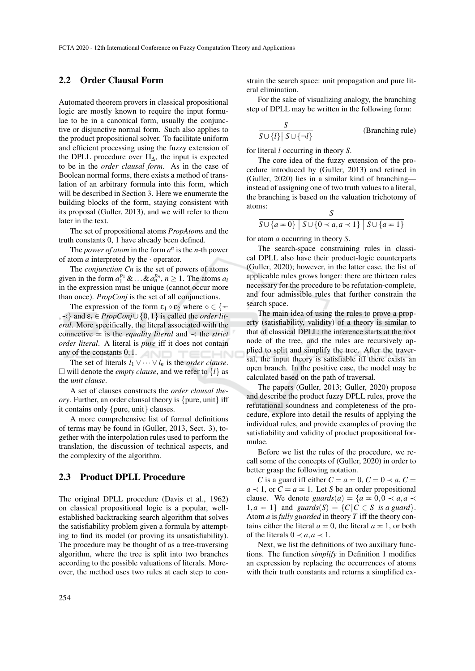#### 2.2 Order Clausal Form

Automated theorem provers in classical propositional logic are mostly known to require the input formulae to be in a canonical form, usually the conjunctive or disjunctive normal form. Such also applies to the product propositional solver. To facilitate uniform and efficient processing using the fuzzy extension of the DPLL procedure over  $\Pi_{\Delta}$ , the input is expected to be in the *order clausal form*. As in the case of Boolean normal forms, there exists a method of translation of an arbitrary formula into this form, which will be described in Section 3. Here we enumerate the building blocks of the form, staying consistent with its proposal (Guller, 2013), and we will refer to them later in the text.

The set of propositional atoms *PropAtoms* and the truth constants 0, 1 have already been defined.

The *power of atom* in the form  $a^n$  is the *n*-th power of atom  $a$  interpreted by the  $\cdot$  operator.

The *conjunction Cn* is the set of powers of atoms given in the form  $a_1^{p_1}$  & ... &  $a_n^{p_n}$ ,  $n \ge 1$ . The atoms  $a_i$ in the expression must be unique (cannot occur more than once). *PropConj* is the set of all conjunctions.

The expression of the form  $\varepsilon_1 \diamond \varepsilon_2$  where  $\diamond \in {\mathbb{R}}$  $,$   $\prec$ } and  $\varepsilon$ <sub>*i*</sub> ∈ *PropConj* ∪ {0, 1} is called the *order literal*. More specifically, the literal associated with the connective  $=$  is the *equality literal* and  $\prec$  the *strict order literal*. A literal is *pure* iff it does not contain any of the constants  $0,1$ .

The set of literals  $l_1 \vee \cdots \vee l_n$  is the *order clause*.  $\Box$  will denote the *empty clause*, and we refer to  $\{l\}$  as the *unit clause*.

A set of clauses constructs the *order clausal theory*. Further, an order clausal theory is {pure, unit} iff it contains only {pure, unit} clauses.

A more comprehensive list of formal definitions of terms may be found in (Guller, 2013, Sect. 3), together with the interpolation rules used to perform the translation, the discussion of technical aspects, and the complexity of the algorithm.

#### 2.3 Product DPLL Procedure

The original DPLL procedure (Davis et al., 1962) on classical propositional logic is a popular, wellestablished backtracking search algorithm that solves the satisfiability problem given a formula by attempting to find its model (or proving its unsatisfiability). The procedure may be thought of as a tree-traversing algorithm, where the tree is split into two branches according to the possible valuations of literals. Moreover, the method uses two rules at each step to con-

strain the search space: unit propagation and pure literal elimination.

For the sake of visualizing analogy, the branching step of DPLL may be written in the following form:

$$
\frac{S}{S \cup \{l\} | S \cup \{\neg l\}} \qquad \qquad \text{(Branching rule)}
$$

for literal *l* occurring in theory *S*.

The core idea of the fuzzy extension of the procedure introduced by (Guller, 2013) and refined in (Guller, 2020) lies in a similar kind of branching instead of assigning one of two truth values to a literal, the branching is based on the valuation trichotomy of atoms:  $\tilde{S}$ 

$$
\frac{S}{S\cup\{a=0\}\mid S\cup\{0\prec a,a\prec 1\}\mid S\cup\{a=1\}}
$$

for atom *a* occurring in theory *S*.

The search-space constraining rules in classical DPLL also have their product-logic counterparts (Guller, 2020); however, in the latter case, the list of applicable rules grows longer: there are thirteen rules necessary for the procedure to be refutation-complete, and four admissible rules that further constrain the search space.

The main idea of using the rules to prove a property (satisfiability, validity) of a theory is similar to that of classical DPLL: the inference starts at the root node of the tree, and the rules are recursively applied to split and simplify the tree. After the traversal, the input theory is satisfiable iff there exists an open branch. In the positive case, the model may be calculated based on the path of traversal.

The papers (Guller, 2013; Guller, 2020) propose and describe the product fuzzy DPLL rules, prove the refutational soundness and completeness of the procedure, explore into detail the results of applying the individual rules, and provide examples of proving the satisfiability and validity of product propositional formulae.

Before we list the rules of the procedure, we recall some of the concepts of (Guller, 2020) in order to better grasp the following notation.

*C* is a guard iff either  $C = a = 0$ ,  $C = 0 \prec a$ ,  $C =$  $a \prec 1$ , or  $C = a = 1$ . Let *S* be an order propositional clause. We denote *guards*(*a*) = { $a = 0, 0 \prec a, a \prec$  $1, a = 1$  and *guards*(*S*) = {*C*|*C*  $\in$  *S is a guard*}. Atom *a* is *fully guarded* in theory *T* iff the theory contains either the literal  $a = 0$ , the literal  $a = 1$ , or both of the literals  $0 \prec a, a \prec 1$ .

Next, we list the definitions of two auxiliary functions. The function *simplify* in Definition 1 modifies an expression by replacing the occurrences of atoms with their truth constants and returns a simplified ex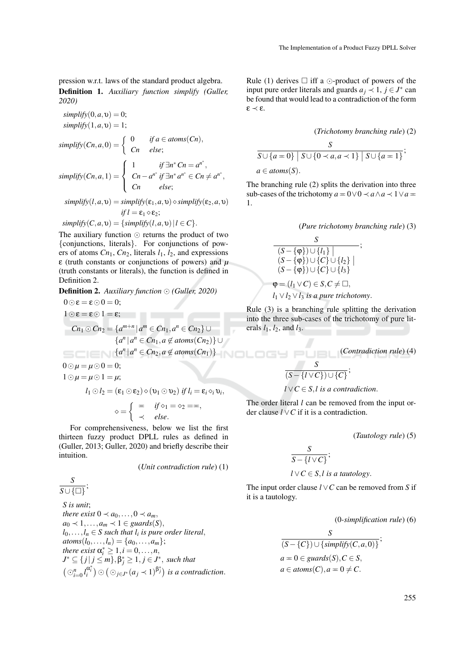pression w.r.t. laws of the standard product algebra. Definition 1. *Auxiliary function simplify (Guller, 2020)*

 $simplify(0, a, v) = 0;$  $simplify(1, a, \upsilon) = 1;$  $simplify(Cn, a, 0) = \begin{cases} 0 & if a \in atoms(Cn), \\ 0 & if a \in atoms(Cn), \end{cases}$ *Cn else*;  $simplify(Cn, a, 1) =$  $\sqrt{ }$  $\int$  $\overline{\mathcal{L}}$ 1 *if*  $\exists n^* C n = a^{n^*},$ *Cn* −  $a^{n^*}$  *if* ∃*n*<sup>\*</sup>  $a^{n^*}$  ∈ *Cn*  $\neq a^{n^*}$ , *Cn else*;

$$
simplify(l, a, v) = simplify(\varepsilon_1, a, v) \diamond simplify(\varepsilon_2, a, v)
$$
  
if  $l = \varepsilon_1 \diamond \varepsilon_2$ ;

$$
simplify(C, a, v) = {simplify(I, a, v) | l \in C}.
$$

The auxiliary function  $\odot$  returns the product of two {conjunctions, literals}. For conjunctions of powers of atoms  $Cn_1$ ,  $Cn_2$ , literals  $l_1$ ,  $l_2$ , and expressions ε (truth constants or conjunctions of powers) and *µ* (truth constants or literals), the function is defined in Definition 2.

Definition 2. *Auxiliary function (Guller, 2020)*

$$
0 \odot \varepsilon = \varepsilon \odot 0 = 0;
$$
  
\n
$$
1 \odot \varepsilon = \varepsilon \odot 1 = \varepsilon;
$$
  
\n
$$
Cn_1 \odot Cn_2 = \{a^{m+n} | a^m \in Cn_1, a^n \in Cn_2\} \cup \{a^n | a^n \in Cn_1, a \notin atoms(Cn_2)\} \cup \{a^n | a^n \in Cn_2, a \notin atoms(Cn_1)\}
$$
  
\n
$$
0 \odot \mu = \mu \odot 0 = 0;
$$
  
\n
$$
1 \odot \mu = \mu \odot 1 = \mu;
$$
  
\n
$$
l_1 \odot l_2 = (\varepsilon_1 \odot \varepsilon_2) \diamond (v_1 \odot v_2) \text{ if } l_i = \varepsilon_i \diamond_i v_i,
$$
  
\n
$$
\diamond = \begin{cases} \n= & \text{if } \diamond_1 = \diamond_2 = \mp, \\ \nprec & \text{else.} \n\end{cases}
$$
  
\nFor comprehensiveness, below we list the first

For comprehensiveness, below we list the first thirteen fuzzy product DPLL rules as defined in (Guller, 2013; Guller, 2020) and briefly describe their intuition.

(*Unit contradiction rule*) (1)

$$
\frac{S}{S \cup \{\Box\}}
$$

;

*S is unit*; *there exist*  $0 \prec a_0, \ldots, 0 \prec a_m$ ,  $a_0 \prec 1, \ldots, a_m \prec 1 \in \mathit{guards}(S),$  $l_0, \ldots, l_n \in S$  such that  $l_i$  is pure order literal,  $atoms(l_0, ..., l_n) = \{a_0, ..., a_m\};$ *there exist*  $\alpha_i^* \geq 1, i = 0, \ldots, n$ ,  $J^*\subseteq \{j\,|\,j\leq m\}, \beta^*_j\geq 1, j\in J^*,$  *such that*  $\left(\bigcirc_{i=0}^n l_i^{\alpha_i^*}\right) \odot \left(\bigcirc_{j\in J^*} (a_j \prec 1)^{\beta_j^*}\right)$  *is a contradiction.*  Rule (1) derives  $\Box$  iff a  $\odot$ -product of powers of the input pure order literals and guards  $a_j \prec 1, j \in J^*$  can be found that would lead to a contradiction of the form ε ≺ ε.

$$
(Trichotomy branching rule) (2)
$$

$$
\frac{S}{S \cup \{a=0\} | S \cup \{0 \prec a, a \prec 1\} | S \cup \{a=1\}};
$$

$$
a \in atoms(S).
$$

The branching rule (2) splits the derivation into three sub-cases of the trichotomy  $a = 0 \lor 0 \land a \land a \land 1 \lor a = 0$ 1.

(*Pure trichotomy branching rule*) (3)

$$
\begin{array}{c}\nS \\
\hline\n(S - \{\varphi\}) \cup \{l_1\} \mid \\
(S - \{\varphi\}) \cup \{C\} \cup \{l_2\} \mid \\
(S - \{\varphi\}) \cup \{C\} \cup \{l_3\} \mid \\
\varphi = (l_1 \vee C) \in S, C \neq \Box,\n\end{array}
$$

$$
l_1 \vee l_2 \vee l_3
$$
 is a pure trichotomy.

Rule (3) is a branching rule splitting the derivation into the three sub-cases of the trichotomy of pure literals  $l_1$ ,  $l_2$ , and  $l_3$ .

(*Contradiction rule*) (4)

$$
\frac{S}{(S-\{l\vee C\})\cup\{C\}};
$$

$$
l \lor C \in S
$$
, *l* is a contradiction.

The order literal *l* can be removed from the input order clause *l* ∨*C* if it is a contradiction.

(*Tautology rule*) (5)

$$
\frac{S}{S-\{l\vee C\}};
$$

$$
l \lor C \in S
$$
, *l* is a tautology.

The input order clause *l* ∨*C* can be removed from *S* if it is a tautology.

(0*-simplification rule*) (6)

$$
\frac{S}{(S - \{C\}) \cup \{\text{simplify}(C, a, 0)\}},
$$
  

$$
a = 0 \in \text{guards}(S), C \in S,
$$
  

$$
a \in \text{atoms}(C), a = 0 \neq C.
$$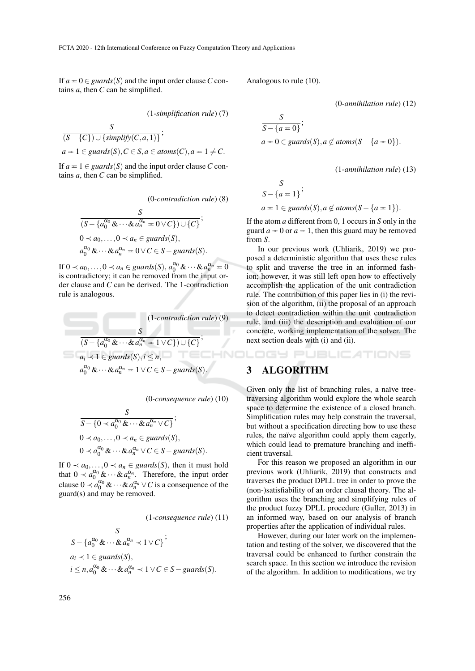If  $a = 0 \in \text{guards}(S)$  and the input order clause C contains *a*, then *C* can be simplified.

(1*-simplification rule*) (7)

$$
\frac{S}{(S - \{C\}) \cup \{\text{simplify}(C, a, 1)\}},
$$
  

$$
a = 1 \in \text{guards}(S), C \in S, a \in \text{atoms}(C), a = 1 \neq C.
$$

If  $a = 1 \in \text{guards}(S)$  and the input order clause *C* contains *a*, then *C* can be simplified.

(0*-contradiction rule*) (8)

$$
\frac{S}{(S - \{a_0^{\alpha_0} \& \cdots \& a_n^{\alpha_n} = 0 \vee C\}) \cup \{C\}};
$$
  
\n
$$
0 \prec a_0, \ldots, 0 \prec a_n \in \text{guards}(S),
$$
  
\n
$$
a_0^{\alpha_0} \& \cdots \& a_n^{\alpha_n} = 0 \vee C \in S - \text{guards}(S).
$$

If  $0 \prec a_0, \ldots, 0 \prec a_n \in \text{guards}(S), a_0^{\alpha_0} \& \cdots \& a_n^{\alpha_n} = 0$ is contradictory; it can be removed from the input order clause and *C* can be derived. The 1-contradiction rule is analogous.

$$
(1-contradiction rule) (9)
$$
  
\n
$$
\frac{S}{(S - \{a_0^{\alpha_0} \& \cdots \& a_n^{\alpha_n} = 1 \lor C\}) \cup \{C\}};
$$
  
\n
$$
a_i \prec 1 \in \text{guards}(S), i \le n,
$$
  
\n
$$
a_0^{\alpha_0} \& \cdots \& a_n^{\alpha_n} = 1 \lor C \in S-\text{guards}(S).
$$

(0*-consequence rule*) (10)

$$
\frac{S}{S-\{0 \prec a_0^{\alpha_0} \& \cdots \& a_n^{\alpha_n} \vee C\}};
$$
  
0 < a\_0, \ldots, 0 < a\_n \in \text{guards}(S),  
0 < a\_0^{\alpha\_0} \& \cdots \& a\_n^{\alpha\_n} \vee C \in S-\text{guards}(S).

If  $0 \lt a_0, \ldots, 0 \lt a_n \in \mathit{guards}(S)$ , then it must hold that  $0 \prec a_0^{\alpha_0} \& \cdots \& a_n^{\alpha_n}$ . Therefore, the input order clause  $0 \prec a_0^{\alpha_0} \& \cdots \& a_n^{\alpha_n} \vee C$  is a consequence of the guard(s) and may be removed.

(1*-consequence rule*) (11)

$$
\frac{S}{S - \{a_0^{\alpha_0} \& \cdots \& a_n^{\alpha_n} \prec 1 \vee C\}};
$$
\n
$$
a_i \prec 1 \in \text{guards}(S),
$$
\n
$$
i \le n, a_0^{\alpha_0} \& \cdots \& a_n^{\alpha_n} \prec 1 \vee C \in S-\text{guards}(S).
$$

 $\mathcal{C}$ 

Analogous to rule (10).

(0*-annihilation rule*) (12)

$$
\frac{S}{S - \{a = 0\}};
$$
  

$$
a = 0 \in \text{gwards}(S), a \notin \text{atoms}(S - \{a = 0\}).
$$

(1*-annihilation rule*) (13)

$$
\frac{S}{S - \{a = 1\}};
$$
  

$$
a = 1 \in \text{gwards}(S), a \notin \text{atoms}(S - \{a = 1\}).
$$

If the atom *a* different from 0, 1 occurs in *S* only in the guard  $a = 0$  or  $a = 1$ , then this guard may be removed from *S*.

In our previous work (Uhliarik, 2019) we proposed a deterministic algorithm that uses these rules to split and traverse the tree in an informed fashion; however, it was still left open how to effectively accomplish the application of the unit contradiction rule. The contribution of this paper lies in (i) the revision of the algorithm, (ii) the proposal of an approach to detect contradiction within the unit contradiction rule, and (iii) the description and evaluation of our concrete, working implementation of the solver. The next section deals with (i) and (ii).

IGY PUBLICATIONS

### 3 ALGORITHM

Given only the list of branching rules, a naïve treetraversing algorithm would explore the whole search space to determine the existence of a closed branch. Simplification rules may help constrain the traversal, but without a specification directing how to use these rules, the naïve algorithm could apply them eagerly, which could lead to premature branching and inefficient traversal.

For this reason we proposed an algorithm in our previous work (Uhliarik, 2019) that constructs and traverses the product DPLL tree in order to prove the (non-)satisfiability of an order clausal theory. The algorithm uses the branching and simplifying rules of the product fuzzy DPLL procedure (Guller, 2013) in an informed way, based on our analysis of branch properties after the application of individual rules.

However, during our later work on the implementation and testing of the solver, we discovered that the traversal could be enhanced to further constrain the search space. In this section we introduce the revision of the algorithm. In addition to modifications, we try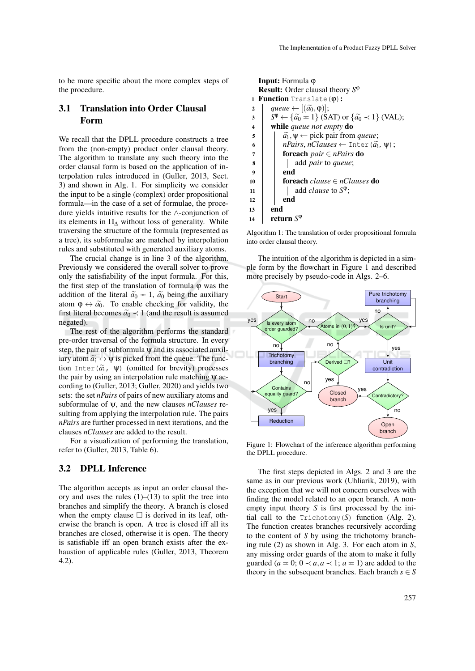to be more specific about the more complex steps of the procedure.

## 3.1 Translation into Order Clausal Form

We recall that the DPLL procedure constructs a tree from the (non-empty) product order clausal theory. The algorithm to translate any such theory into the order clausal form is based on the application of interpolation rules introduced in (Guller, 2013, Sect. 3) and shown in Alg. 1. For simplicity we consider the input to be a single (complex) order propositional formula—in the case of a set of formulae, the procedure yields intuitive results for the ∧-conjunction of its elements in  $\Pi_{\Delta}$  without loss of generality. While traversing the structure of the formula (represented as a tree), its subformulae are matched by interpolation rules and substituted with generated auxiliary atoms.

The crucial change is in line 3 of the algorithm. Previously we considered the overall solver to prove only the satisfiability of the input formula. For this, the first step of the translation of formula  $\varphi$  was the addition of the literal  $\tilde{a}_0 = 1$ ,  $\tilde{a}_0$  being the auxiliary atom  $\varphi \leftrightarrow \tilde{a_0}$ . To enable checking for validity, the first literal becomes  $\tilde{a_0} \prec 1$  (and the result is assumed negated).

The rest of the algorithm performs the standard pre-order traversal of the formula structure. In every step, the pair of subformula ψ and its associated auxiliary atom  $\tilde{a}_i \leftrightarrow \psi$  is picked from the queue. The function Inter  $(\tilde{a}_{i}, \psi)$  (omitted for brevity) processes the pair by using an interpolation rule matching  $\psi$  according to (Guller, 2013; Guller, 2020) and yields two sets: the set *nPairs* of pairs of new auxiliary atoms and subformulae of ψ, and the new clauses *nClauses* resulting from applying the interpolation rule. The pairs *nPairs* are further processed in next iterations, and the clauses *nClauses* are added to the result.

For a visualization of performing the translation, refer to (Guller, 2013, Table 6).

### 3.2 DPLL Inference

The algorithm accepts as input an order clausal theory and uses the rules  $(1)$ – $(13)$  to split the tree into branches and simplify the theory. A branch is closed when the empty clause  $\Box$  is derived in its leaf, otherwise the branch is open. A tree is closed iff all its branches are closed, otherwise it is open. The theory is satisfiable iff an open branch exists after the exhaustion of applicable rules (Guller, 2013, Theorem 4.2).

|                                                   | <b>Input:</b> Formula $\varphi$                                                            |  |  |  |  |  |  |
|---------------------------------------------------|--------------------------------------------------------------------------------------------|--|--|--|--|--|--|
| <b>Result:</b> Order clausal theory $S^{\varphi}$ |                                                                                            |  |  |  |  |  |  |
| <b>1 Function</b> Translate $(\varphi)$ :         |                                                                                            |  |  |  |  |  |  |
| $\overline{2}$                                    | queue $\leftarrow$ [ $(\widetilde{a_0}, \varphi)$ ];                                       |  |  |  |  |  |  |
| 3                                                 | $S^{\varphi} \leftarrow {\widetilde{a_0}} = 1$ (SAT) or ${\widetilde{a_0}} \prec 1$ (VAL); |  |  |  |  |  |  |
| $\overline{\mathbf{4}}$                           | while queue not empty do                                                                   |  |  |  |  |  |  |
| 5                                                 | $\widetilde{a_i}$ , $\psi \leftarrow$ pick pair from <i>queue</i> ;                        |  |  |  |  |  |  |
| 6                                                 | <i>nPairs, nClauses</i> $\leftarrow$ Inter $(\widetilde{a_i}, \Psi)$ ;                     |  |  |  |  |  |  |
| 7                                                 | <b>foreach</b> <i>pair</i> $\in$ <i>nPairs</i> <b>do</b>                                   |  |  |  |  |  |  |
| 8                                                 | add <i>pair</i> to <i>queue</i> ;                                                          |  |  |  |  |  |  |
| 9                                                 | end                                                                                        |  |  |  |  |  |  |
| 10                                                | <b>foreach</b> <i>clause</i> $\in$ <i>nClauses</i> <b>do</b>                               |  |  |  |  |  |  |
| 11                                                | add <i>clause</i> to $S^{\varphi}$ ;                                                       |  |  |  |  |  |  |
| 12                                                | end                                                                                        |  |  |  |  |  |  |
| 13                                                | end                                                                                        |  |  |  |  |  |  |
| 14                                                | return S <sup>y</sup>                                                                      |  |  |  |  |  |  |

Algorithm 1: The translation of order propositional formula into order clausal theory.

The intuition of the algorithm is depicted in a simple form by the flowchart in Figure 1 and described more precisely by pseudo-code in Algs. 2–6.



Figure 1: Flowchart of the inference algorithm performing the DPLL procedure.

The first steps depicted in Algs. 2 and 3 are the same as in our previous work (Uhliarik, 2019), with the exception that we will not concern ourselves with finding the model related to an open branch. A nonempty input theory *S* is first processed by the initial call to the Trichotomy(*S*) function (Alg. 2). The function creates branches recursively according to the content of *S* by using the trichotomy branching rule (2) as shown in Alg. 3. For each atom in *S*, any missing order guards of the atom to make it fully guarded ( $a = 0$ ;  $0 \prec a, a \prec 1$ ;  $a = 1$ ) are added to the theory in the subsequent branches. Each branch  $s \in S$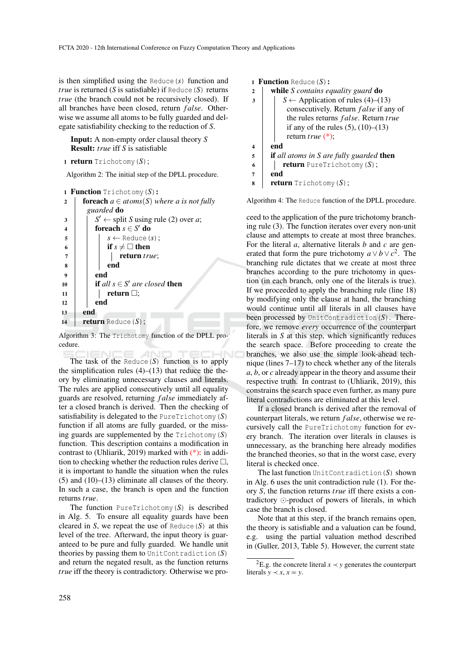is then simplified using the Reduce(*s*) function and *true* is returned ( $S$  is satisfiable) if Reduce  $(S)$  returns *true* (the branch could not be recursively closed). If all branches have been closed, return *f alse*. Otherwise we assume all atoms to be fully guarded and delegate satisfiability checking to the reduction of *S*.

Input: A non-empty order clausal theory *S* Result: *true* iff *S* is satisfiable

```
1 return Trichotomy(S);
```
Algorithm 2: The initial step of the DPLL procedure.

```
1 Function Trichotomy(S):
```

```
2 foreach a \in atoms(S) where a is not fully
        guarded do
 3 \mid \int S' \leftarrow split S using rule (2) over a;
 4 \vert foreach s \in S' do
\begin{array}{c|c|c|c} 5 & \cdots & s \leftarrow \text{Reduce}(s); \end{array}6 if s \neq \Box then
 7 | | | return true;
 8 | | | end
9 \mid \cdot \cdot end
10 if all s \in S' are closed then
11 return ;
12 end
13 end
14 return Reduce (S);
```
Algorithm 3: The Trichotomy function of the DPLL procedure.

The task of the Reduce $(S)$  function is to apply the simplification rules  $(4)$ – $(13)$  that reduce the theory by eliminating unnecessary clauses and literals. The rules are applied consecutively until all equality guards are resolved, returning *f alse* immediately after a closed branch is derived. Then the checking of satisfiability is delegated to the PureTrichotomy(*S*) function if all atoms are fully guarded, or the missing guards are supplemented by the Trichotomy(*S*) function. This description contains a modification in contrast to (Uhliarik, 2019) marked with (\*): in addition to checking whether the reduction rules derive  $\Box$ , it is important to handle the situation when the rules (5) and (10)–(13) eliminate all clauses of the theory. In such a case, the branch is open and the function returns *true*.

The function PureTrichotomy(*S*) is described in Alg. 5. To ensure all equality guards have been cleared in *S*, we repeat the use of Reduce  $(S)$  at this level of the tree. Afterward, the input theory is guaranteed to be pure and fully guarded. We handle unit theories by passing them to UnitContradiction(*S*) and return the negated result, as the function returns *true* iff the theory is contradictory. Otherwise we pro1 **Function** Reduce  $(S)$ :

```
2 while S contains equality guard do
\overline{\mathbf{3}} | \overline{\mathbf{5}} ← Application of rules (4)–(13)
           consecutively. Return f alse if any of
           the rules returns f alse. Return true
           if any of the rules (5), (10)–(13)return true (*);
4 \mid end5 if all atoms in S are fully guarded then
6 return PureTrichotomy(S);
7 end
\mathbf{s} | return Trichotomy (S);
```
Algorithm 4: The Reduce function of the DPLL procedure.

ceed to the application of the pure trichotomy branching rule (3). The function iterates over every non-unit clause and attempts to create at most three branches. For the literal *a*, alternative literals *b* and *c* are generated that form the pure trichotomy  $a \vee b \vee c^2$ . The branching rule dictates that we create at most three branches according to the pure trichotomy in question (in each branch, only one of the literals is true). If we proceeded to apply the branching rule (line 18) by modifying only the clause at hand, the branching would continue until all literals in all clauses have been processed by UnitContradiction(*S*). Therefore, we remove *every* occurrence of the counterpart literals in *S* at this step, which significantly reduces the search space. Before proceeding to create the branches, we also use the simple look-ahead technique (lines 7–17) to check whether any of the literals *a*, *b*, or *c* already appear in the theory and assume their respective truth. In contrast to (Uhliarik, 2019), this constrains the search space even further, as many pure literal contradictions are eliminated at this level.

If a closed branch is derived after the removal of counterpart literals, we return *f alse*, otherwise we recursively call the PureTrichotomy function for every branch. The iteration over literals in clauses is unnecessary, as the branching here already modifies the branched theories, so that in the worst case, every literal is checked once.

The last function UnitContradiction(*S*) shown in Alg. 6 uses the unit contradiction rule (1). For theory *S*, the function returns *true* iff there exists a contradictory  $\odot$ -product of powers of literals, in which case the branch is closed.

Note that at this step, if the branch remains open, the theory is satisfiable and a valuation can be found, e.g. using the partial valuation method described in (Guller, 2013, Table 5). However, the current state

<sup>&</sup>lt;sup>2</sup>E.g. the concrete literal  $x \prec y$  generates the counterpart literals  $y \prec x, x = y$ .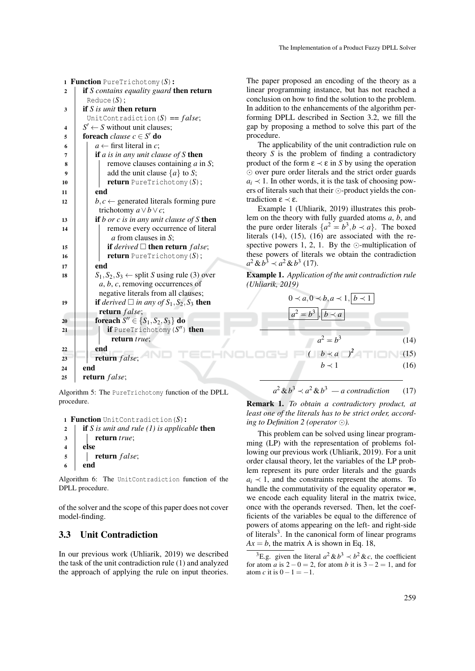| 1  | <b>Function</b> PureTrichotomy $(S)$ :                               |  |  |  |  |  |
|----|----------------------------------------------------------------------|--|--|--|--|--|
| 2  | <b>if</b> S contains equality guard <b>then return</b>               |  |  |  |  |  |
|    | Reduce $(S)$ :                                                       |  |  |  |  |  |
| 3  | if $S$ is unit then return                                           |  |  |  |  |  |
|    | UnitContradiction $(S) == false;$                                    |  |  |  |  |  |
| 4  | $S' \leftarrow S$ without unit clauses;                              |  |  |  |  |  |
| 5  | <b>foreach</b> <i>clause</i> $c \in S'$ <b>do</b>                    |  |  |  |  |  |
| 6  | $a \leftarrow$ first literal in c;                                   |  |  |  |  |  |
| 7  | if $a$ is in any unit clause of $S$ then                             |  |  |  |  |  |
| 8  | remove clauses containing $a$ in $S$ ;                               |  |  |  |  |  |
| 9  | add the unit clause $\{a\}$ to S;                                    |  |  |  |  |  |
| 10 | <b>return</b> PureTrichotomy $(S)$ ;                                 |  |  |  |  |  |
| 11 | end                                                                  |  |  |  |  |  |
| 12 | $b, c \leftarrow$ generated literals forming pure                    |  |  |  |  |  |
|    | trichotomy $a \vee b \vee c$ ;                                       |  |  |  |  |  |
| 13 | if b or c is in any unit clause of S then                            |  |  |  |  |  |
| 14 | remove every occurrence of literal                                   |  |  |  |  |  |
|    | a from clauses in S;                                                 |  |  |  |  |  |
| 15 | <b>if</b> derived $\square$ then return false;                       |  |  |  |  |  |
| 16 | <b>return</b> PureTrichotomy $(S)$ ;                                 |  |  |  |  |  |
| 17 | end                                                                  |  |  |  |  |  |
| 18 | $S_1, S_2, S_3 \leftarrow$ split S using rule (3) over               |  |  |  |  |  |
|    | $a, b, c$ , removing occurrences of                                  |  |  |  |  |  |
|    | negative literals from all clauses;                                  |  |  |  |  |  |
| 19 | <b>if</b> derived $\Box$ in any of $S_1$ , $S_2$ , $S_3$ <b>then</b> |  |  |  |  |  |
|    | return false;                                                        |  |  |  |  |  |
| 20 | <b>foreach</b> $S'' \in \{S_1, S_2, S_3\}$ <b>do</b>                 |  |  |  |  |  |
| 21 | if PureTrichotomy $(S'')$ then                                       |  |  |  |  |  |
|    | return true;                                                         |  |  |  |  |  |
| 22 | end                                                                  |  |  |  |  |  |
| 23 | return false;                                                        |  |  |  |  |  |
| 24 | end                                                                  |  |  |  |  |  |
| 25 | return false;                                                        |  |  |  |  |  |
|    |                                                                      |  |  |  |  |  |

The paper proposed an encoding of the theory as a linear programming instance, but has not reached a conclusion on how to find the solution to the problem. In addition to the enhancements of the algorithm performing DPLL described in Section 3.2, we fill the gap by proposing a method to solve this part of the procedure.

The applicability of the unit contradiction rule on theory *S* is the problem of finding a contradictory product of the form  $\varepsilon \prec \varepsilon$  in *S* by using the operation  $\odot$  over pure order literals and the strict order guards  $a_i \prec 1$ . In other words, it is the task of choosing powers of literals such that their  $\odot$ -product yields the contradiction ε ≺ ε.

Example 1 (Uhliarik, 2019) illustrates this problem on the theory with fully guarded atoms *a*, *b*, and the pure order literals  $\{a^2 = b^3, b \prec a\}$ . The boxed literals (14), (15), (16) are associated with the respective powers 1, 2, 1. By the  $\odot$ -multiplication of these powers of literals we obtain the contradiction  $a^2 \& b^3 \prec a^2 \& b^3$  (17).

Example 1. *Application of the unit contradiction rule (Uhliarik, 2019)*



Algorithm 5: The PureTrichotomy function of the DPLL procedure.

```
1 Function UnitContradiction(S):
```

```
2 if S is unit and rule (1) is applicable then
```

```
3 return true;
4 else
5 return f alse;
6 \mid end
```
Algorithm 6: The UnitContradiction function of the DPLL procedure.

of the solver and the scope of this paper does not cover model-finding.

### 3.3 Unit Contradiction

In our previous work (Uhliarik, 2019) we described the task of the unit contradiction rule (1) and analyzed the approach of applying the rule on input theories.

$$
a^2 \& b^3 \prec a^2 \& b^3 - a \, contradiction \qquad (17)
$$

Remark 1. *To obtain a contradictory product, at least one of the literals has to be strict order, according to Definition 2 (operator ).*

This problem can be solved using linear programming (LP) with the representation of problems following our previous work (Uhliarik, 2019). For a unit order clausal theory, let the variables of the LP problem represent its pure order literals and the guards  $a_i \nless 1$ , and the constraints represent the atoms. To handle the commutativity of the equality operator  $\equiv$ , we encode each equality literal in the matrix twice, once with the operands reversed. Then, let the coefficients of the variables be equal to the difference of powers of atoms appearing on the left- and right-side of literals<sup>3</sup>. In the canonical form of linear programs  $Ax = b$ , the matrix A is shown in Eq. 18,

<sup>3</sup>E.g. given the literal  $a^2 \& b^3 \prec b^2 \& c$ , the coefficient for atom *a* is  $2 - 0 = 2$ , for atom *b* it is  $3 - 2 = 1$ , and for atom *c* it is  $0-1=-1$ .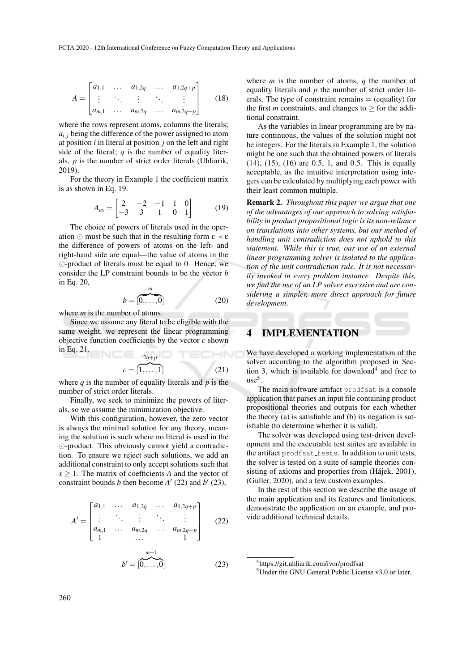$$
A = \begin{bmatrix} a_{1,1} & \dots & a_{1,2q} & \dots & a_{1,2q+p} \\ \vdots & \ddots & \vdots & \ddots & \vdots \\ a_{m,1} & \dots & a_{m,2q} & \dots & a_{m,2q+p} \end{bmatrix}
$$
 (18)

where the rows represent atoms, columns the literals;  $a_{i,j}$  being the difference of the power assigned to atom at position *i* in literal at position *j* on the left and right side of the literal;  $q$  is the number of equality literals, *p* is the number of strict order literals (Uhliarik, 2019).

For the theory in Example 1 the coefficient matrix is as shown in Eq. 19.

$$
A_{ex} = \begin{bmatrix} 2 & -2 & -1 & 1 & 0 \\ -3 & 3 & 1 & 0 & 1 \end{bmatrix}
$$
 (19)

The choice of powers of literals used in the operation  $\odot$  must be such that in the resulting form  $\varepsilon \prec \varepsilon$ the difference of powers of atoms on the left- and right-hand side are equal—the value of atoms in the  $\odot$ -product of literals must be equal to 0. Hence, we consider the LP constraint bounds to be the vector *b* in Eq. 20,

$$
b = \overbrace{0, \ldots, 0}^{m}
$$
 (20)

where *m* is the number of atoms.

Since we assume any literal to be eligible with the same weight, we represent the linear programming objective function coefficients by the vector *c* shown in Eq. 21,  $N =$ 2*q*+*p* TECHNO

$$
c = \begin{bmatrix} 2q+p \\ 1, \dots, 1 \end{bmatrix} \tag{21}
$$

where  $q$  is the number of equality literals and  $p$  is the number of strict order literals.

Finally, we seek to minimize the powers of literals, so we assume the minimization objective.

With this configuration, however, the zero vector is always the minimal solution for any theory, meaning the solution is such where no literal is used in the -product. This obviously cannot yield a contradiction. To ensure we reject such solutions, we add an additional constraint to only accept solutions such that  $x \geq 1$ . The matrix of coefficients *A* and the vector of constraint bounds *b* then become  $A'$  (22) and  $b'$  (23),

$$
A' = \begin{bmatrix} a_{1,1} & \cdots & a_{1,2q} & \cdots & a_{1,2q+p} \\ \vdots & \ddots & \vdots & \ddots & \vdots \\ a_{m,1} & \cdots & a_{m,2q} & \cdots & a_{m,2q+p} \\ 1 & & \cdots & 1 \end{bmatrix}
$$
 (22)  

$$
b' = [0, \ldots, 0]
$$
 (23)

where *m* is the number of atoms, *q* the number of equality literals and *p* the number of strict order literals. The type of constraint remains  $=$  (equality) for the first *m* constraints, and changes to  $>$  for the additional constraint.

As the variables in linear programming are by nature continuous, the values of the solution might not be integers. For the literals in Example 1, the solution might be one such that the obtained powers of literals (14), (15), (16) are 0.5, 1, and 0.5. This is equally acceptable, as the intuitive interpretation using integers can be calculated by multiplying each power with their least common multiple.

Remark 2. *Throughout this paper we argue that one of the advantages of our approach to solving satisfiability in product propositional logic is its non-reliance on translations into other systems, but our method of handling unit contradiction does not uphold to this statement. While this is true, our use of an external linear programming solver is isolated to the application of the unit contradiction rule. It is not necessarily invoked in every problem instance. Despite this, we find the use of an LP solver excessive and are considering a simpler, more direct approach for future development.*

### 4 IMPLEMENTATION

We have developed a working implementation of the solver according to the algorithm proposed in Section 3, which is available for download<sup>4</sup> and free to use<sup>5</sup> .

The main software artifact prodfsat is a console application that parses an input file containing product propositional theories and outputs for each whether the theory (a) is satisfiable and (b) its negation is satisfiable (to determine whether it is valid).

The solver was developed using test-driven development and the executable test suites are available in the artifact prodfsat\_tests. In addition to unit tests, the solver is tested on a suite of sample theories consisting of axioms and properties from (Hájek, 2001), (Guller, 2020), and a few custom examples.

In the rest of this section we describe the usage of the main application and its features and limitations, demonstrate the application on an example, and provide additional technical details.

<sup>4</sup>https://git.uhliarik.com/ivor/prodfsat <sup>5</sup>Under the GNU General Public License v3.0 or later.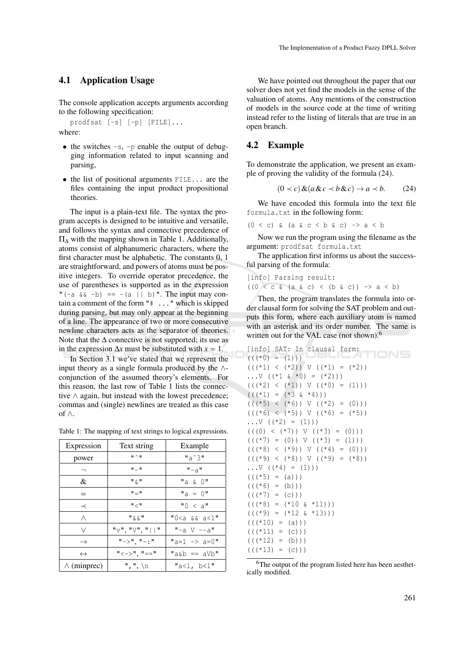#### 4.1 Application Usage

The console application accepts arguments according to the following specification:

prodfsat [-s] [-p] [FILE]...

where:

- $\bullet$  the switches  $-s$ ,  $-p$  enable the output of debugging information related to input scanning and parsing,
- the list of positional arguments FILE... are the files containing the input product propositional theories.

The input is a plain-text file. The syntax the program accepts is designed to be intuitive and versatile, and follows the syntax and connective precedence of Π<sup>∆</sup> with the mapping shown in Table 1. Additionally, atoms consist of alphanumeric characters, where the first character must be alphabetic. The constants 0, 1 are straightforward, and powers of atoms must be positive integers. To override operator precedence, the use of parentheses is supported as in the expression "(-a  $&-b$ ) == -(a || b)". The input may contain a comment of the form  $"\$   $\ldots$  " which is skipped during parsing, but may only appear at the beginning of a line. The appearance of two or more consecutive newline characters acts as the separator of theories. Note that the  $\Delta$  connective is not supported; its use as in the expression  $\Delta x$  must be substituted with  $x = 1$ .

In Section 3.1 we've stated that we represent the input theory as a single formula produced by the  $\wedge$ conjunction of the assumed theory's elements. For this reason, the last row of Table 1 lists the connective ∧ again, but instead with the lowest precedence; commas and (single) newlines are treated as this case of ∧.

Table 1: The mapping of text strings to logical expressions.

| Expression         | Text string                   | Example                         |  |
|--------------------|-------------------------------|---------------------------------|--|
| power              | $\mathbf{u} \cdot \mathbf{u}$ | $"a^3"$                         |  |
|                    | 11 _ 11                       | " – a                           |  |
| &                  | " & "                         | "a & 0"                         |  |
| ᄑ                  | "="                           | $''a = 0''$                     |  |
| ≺                  | $"$ $<$ $"$                   | "0 < a"                         |  |
| Λ                  | " & & "                       | "O <a &&="" a<1"<="" td=""></a> |  |
| V                  | "V", "V", "  "                | $"$ -a V --a $"$                |  |
| $\rightarrow$      | "->", "-:"                    | "a=1 -> a=0"                    |  |
| $\leftrightarrow$  | "<−>", "=="                   | "a&b == $aVb$ "                 |  |
| $\wedge$ (minprec) | $", ", \n\$                   | "a<1, b<1"                      |  |

We have pointed out throughout the paper that our solver does not yet find the models in the sense of the valuation of atoms. Any mentions of the construction of models in the source code at the time of writing instead refer to the listing of literals that are true in an open branch.

#### 4.2 Example

To demonstrate the application, we present an example of proving the validity of the formula (24).

$$
(0 \prec c) \& (a \& c \prec b \& c) \rightarrow a \prec b. \tag{24}
$$

We have encoded this formula into the text file formula.txt in the following form:

 $(0 < c)$  &  $(a & c < b & c) \rightarrow a < b$ 

Now we run the program using the filename as the argument: prodfsat formula.txt

The application first informs us about the successful parsing of the formula:

[info] Parsing result:  $((0 < c \land (a \land c) < (b \land c)) \rightarrow a < b)$ 

Then, the program translates the formula into order clausal form for solving the SAT problem and outputs this form, where each auxiliary atom is named with an asterisk and its order number. The same is written out for the VAL case (not shown).<sup>6</sup>

```
[info] SAT: In clausal form:
                                 TIONS
((\langle *0 \rangle = (1))(((*1) < (*2)) \vee ((*1) = (*2))\ldotsV ((*1 & *0) = (*2)))
(((*2) < (*1)) V ((*0) = (1)))(((*1) = (*3 \& *4)))(((*5) < (*6)) \vee ((*2) = (0)))(((*6) < (*5)) V ((*6) = (*5))\ldotsV ((*2) = (1)))
(( (0) < (*7)) V ((*3) = (0))(((*7) = (0)) \vee ((*3) = (1)))(( (*8) < (*9)) V ((*4) = (0))
((\times 9) \times (\times 8)) \vee ((\times 9) = (\times 8))\ldots V ((*4) = (1))(((*5) = (a)))(((*6) = (b))(((*7) = (c)) )(((*8) = (*10 \& *11)))(((*9) = (*12 \& *13)))(((*10) = (a)))(((*11) = (c)))(((*12) = (b)))(((*13) = (c))
```
<sup>6</sup>The output of the program listed here has been aesthetically modified.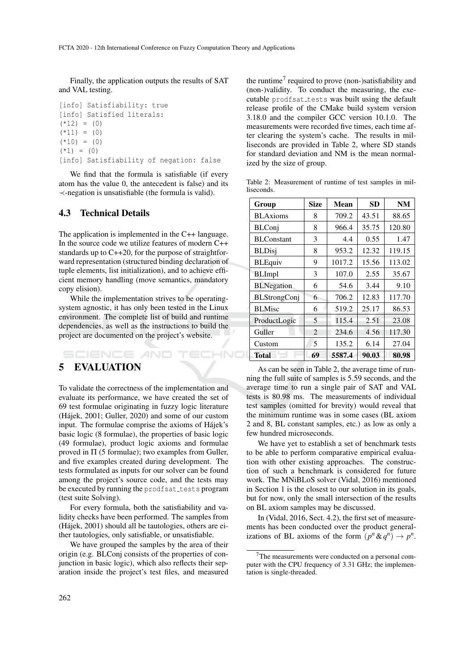Finally, the application outputs the results of SAT and VAL testing.

```
[info] Satisfiability: true
[info] Satisfied literals:
(*12) = (0)(*11) = (0)(*10) = (0)(*1) = (0)[info] Satisfiability of negation: false
```
We find that the formula is satisfiable (if every atom has the value 0, the antecedent is false) and its ≺-negation is unsatisfiable (the formula is valid).

### 4.3 Technical Details

The application is implemented in the C++ language. In the source code we utilize features of modern C++ standards up to C++20, for the purpose of straightforward representation (structured binding declaration of tuple elements, list initialization), and to achieve efficient memory handling (move semantics, mandatory copy elision).

While the implementation strives to be operatingsystem agnostic, it has only been tested in the Linux environment. The complete list of build and runtime dependencies, as well as the instructions to build the project are documented on the project's website.

# 5 EVALUATION

SCIENCE *AND* 

To validate the correctness of the implementation and evaluate its performance, we have created the set of 69 test formulae originating in fuzzy logic literature (Hajek, 2001; Guller, 2020) and some of our custom ´ input. The formulae comprise the axioms of Hájek's basic logic (8 formulae), the properties of basic logic (49 formulae), product logic axioms and formulae proved in  $\Pi$  (5 formulae); two examples from Guller, and five examples created during development. The tests formulated as inputs for our solver can be found among the project's source code, and the tests may be executed by running the prodfsat\_tests program (test suite Solving).

For every formula, both the satisfiability and validity checks have been performed. The samples from (Hajek, 2001) should all be tautologies, others are ei- ´ ther tautologies, only satisfiable, or unsatisfiable.

We have grouped the samples by the area of their origin (e.g. BLConj consists of the properties of conjunction in basic logic), which also reflects their separation inside the project's test files, and measured

the runtime<sup>7</sup> required to prove (non-)satisfiability and (non-)validity. To conduct the measuring, the executable prodfsat\_tests was built using the default release profile of the CMake build system version 3.18.0 and the compiler GCC version 10.1.0. The measurements were recorded five times, each time after clearing the system's cache. The results in milliseconds are provided in Table 2, where SD stands for standard deviation and NM is the mean normalized by the size of group.

Table 2: Measurement of runtime of test samples in mil**liseconds** 

|                | Group              | <b>Size</b> | <b>Mean</b> | <b>SD</b> | <b>NM</b> |
|----------------|--------------------|-------------|-------------|-----------|-----------|
|                | <b>BLAxioms</b>    | 8           | 709.2       | 43.51     | 88.65     |
|                | <b>BLConj</b>      | 8           | 966.4       | 35.75     | 120.80    |
| uage.<br>$C++$ | <b>BLC</b> onstant | 3           | 4.4         | 0.55      | 1.47      |
| ntfor-         | <b>BLDisj</b>      | 8           | 953.2       | 12.32     | 119.15    |
| on of          | <b>BLEquiv</b>     | 9           | 1017.2      | 15.56     | 113.02    |
| effi-          | <b>BLImpl</b>      | 3           | 107.0       | 2.55      | 35.67     |
| atory          | <b>BLNegation</b>  | 6           | 54.6        | 3.44      | 9.10      |
| ating-         | BLStrongConj       | 6           | 706.2       | 12.83     | 117.70    |
| linux          | <b>BLMisc</b>      | 6           | 519.2       | 25.17     | 86.53     |
| atime<br>d the | ProductLogic       | 5           | 115.4       | 2.51      | 23.08     |
|                | Guller             | 2           | 234.6       | 4.56      | 117.30    |
|                | Custom             | 5           | 135.2       | 6.14      | 27.04     |
|                | <b>Total</b>       | 69          | 5587.4      | 90.03     | 80.98     |

As can be seen in Table 2, the average time of running the full suite of samples is 5.59 seconds, and the average time to run a single pair of SAT and VAL tests is 80.98 ms. The measurements of individual test samples (omitted for brevity) would reveal that the minimum runtime was in some cases (BL axiom 2 and 8, BL constant samples, etc.) as low as only a few hundred microseconds.

We have yet to establish a set of benchmark tests to be able to perform comparative empirical evaluation with other existing approaches. The construction of such a benchmark is considered for future work. The MNiBLoS solver (Vidal, 2016) mentioned in Section 1 is the closest to our solution in its goals, but for now, only the small intersection of the results on BL axiom samples may be discussed.

In (Vidal, 2016, Sect. 4.2), the first set of measurements has been conducted over the product generalizations of BL axioms of the form  $(p^n \& q^n) \rightarrow p^n$ .

 $7$ The measurements were conducted on a personal computer with the CPU frequency of 3.31 GHz; the implementation is single-threaded.